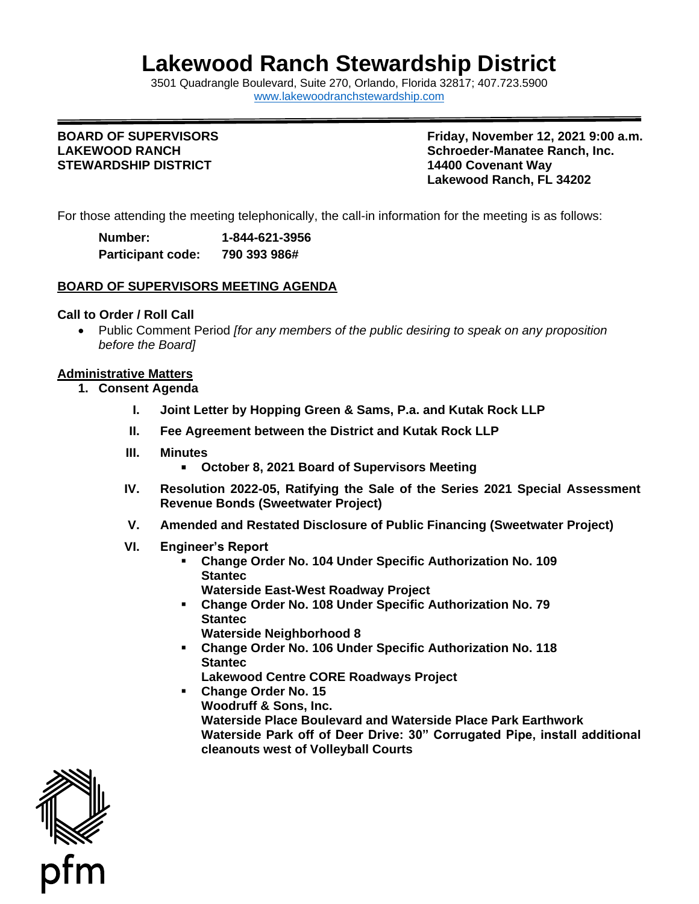# **Lakewood Ranch Stewardship District**

3501 Quadrangle B[oulevard, Suite 270, Orlando, Florida 32](http://www.lakewoodranchstewardship.com/)817; 407.723.5900 [www.lakewoodranchstewardship.com](http://www.lakewoodranchstewardship.com/) 

# **STEWARDSHIP DISTRICT 14400 Covenant Way**

**BOARD OF SUPERVISORS FRIDAY RESOLUTION CONSUMINGLY FRIDAY, November 12, 2021 9:00 a.m. LAKEWOOD RANCH Schroeder-Manatee Ranch, Inc.**  Schroeder-Manatee Ranch, Inc. **Lakewood Ranch, FL 34202** 

For those attending the meeting telephonically, the call-in information for the meeting is as follows:

| Number:                  | 1-844-621-3956 |
|--------------------------|----------------|
| <b>Participant code:</b> | 790 393 986#   |

### **BOARD OF SUPERVISORS MEETING AGENDA**

#### **Call to Order / Roll Call**

• Public Comment Period *[for any members of the public desiring to speak on any proposition before the Board]* 

#### **Administrative Matters**

- **1. Consent Agenda** 
	- **I. Joint Letter by Hopping Green & Sams, P.a. and Kutak Rock LLP**
	- **II. Fee Agreement between the District and Kutak Rock LLP**
	- **III. Minutes** 
		- **October 8, 2021 Board of Supervisors Meeting**
	- **IV. Resolution 2022-05, Ratifying the Sale of the Series 2021 Special Assessment Revenue Bonds (Sweetwater Project)**
	- **V. Amended and Restated Disclosure of Public Financing (Sweetwater Project)**
	- **VI. Engineer's Report** 
		- **Change Order No. 104 Under Specific Authorization No. 109 Stantec Waterside East-West Roadway Project**
		- **Change Order No. 108 Under Specific Authorization No. 79 Stantec Waterside Neighborhood 8**
		- **Change Order No. 106 Under Specific Authorization No. 118 Stantec**
		- **Lakewood Centre CORE Roadways Project**
		- **Waterside Park off of Deer Drive: 30" Corrugated Pipe, install additional** ▪ **Change Order No. 15 Woodruff & Sons, Inc. Waterside Place Boulevard and Waterside Place Park Earthwork cleanouts west of Volleyball Courts**

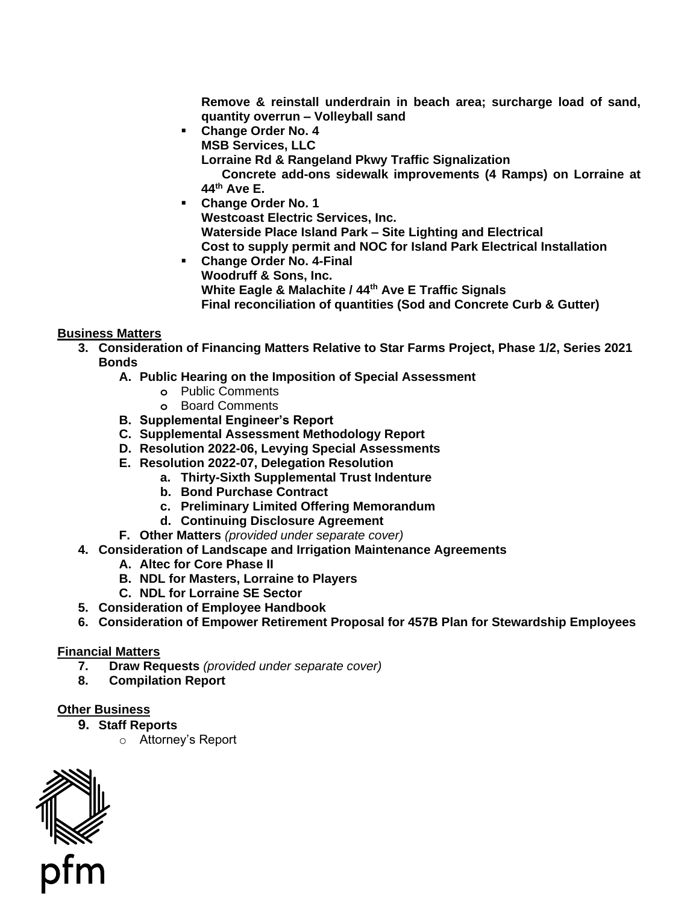**Remove & reinstall underdrain in beach area; surcharge load of sand, quantity overrun – Volleyball sand** 

▪ **Change Order No. 4** 

**MSB Services, LLC** 

**Lorraine Rd & Rangeland Pkwy Traffic Signalization** 

**Concrete add-ons sidewalk improvements (4 Ramps) on Lorraine at 44th Ave E.** 

- **Change Order No. 1 Westcoast Electric Services, Inc. Waterside Place Island Park – Site Lighting and Electrical Cost to supply permit and NOC for Island Park Electrical Installation**
- **Change Order No. 4-Final Woodruff & Sons, Inc. White Eagle & Malachite / 44th Ave E Traffic Signals Final reconciliation of quantities (Sod and Concrete Curb & Gutter)**

## **Business Matters**

- **3. Consideration of Financing Matters Relative to Star Farms Project, Phase 1/2, Series 2021 Bonds** 
	- **A. Public Hearing on the Imposition of Special Assessment** 
		- **o** Public Comments
		- **o** Board Comments
	- **B. Supplemental Engineer's Report**
	- **C. Supplemental Assessment Methodology Report**
	- **D. Resolution 2022-06, Levying Special Assessments**
	- **E. Resolution 2022-07, Delegation Resolution** 
		- **a. Thirty-Sixth Supplemental Trust Indenture**
		- **b. Bond Purchase Contract**
		- **c. Preliminary Limited Offering Memorandum**
		- **d. Continuing Disclosure Agreement**
	- **F. Other Matters** *(provided under separate cover)*
- **4. Consideration of Landscape and Irrigation Maintenance Agreements A. Altec for Core Phase II** 
	-
	- **B. NDL for Masters, Lorraine to Players**
	- **C. NDL for Lorraine SE Sector**
- **5. Consideration of Employee Handbook**
- **6. Consideration of Empower Retirement Proposal for 457B Plan for Stewardship Employees**

#### **Financial Matters**

- **7. Draw Requests** *(provided under separate cover)*
- **8. Compilation Report**

#### **Other Business**

- **9. Staff Reports** 
	- o Attorney's Report